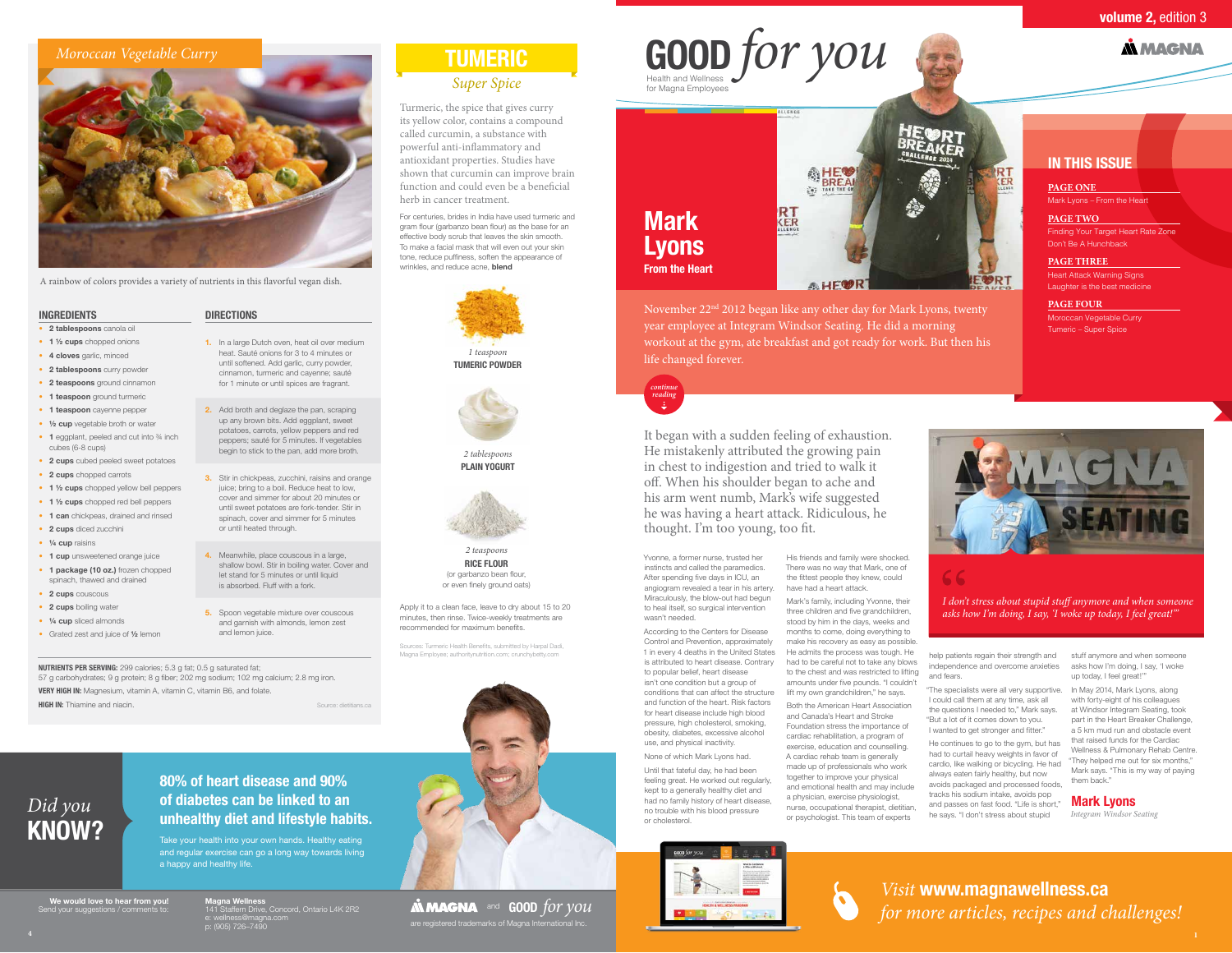## **IN THIS ISSUE**

November 22nd 2012 began like any other day for Mark Lyons, twenty year employee at Integram Windsor Seating. He did a morning workout at the gym, ate breakfast and got ready for work. But then his

life changed forever.

*continue reading*

# Health and Wellness **GOOD** *for you*



Yvonne, a former nurse, trusted her instincts and called the paramedics. After spending five days in ICU, an angiogram revealed a tear in his artery. Miraculously, the blow-out had begun to heal itself, so surgical intervention

wasn't needed.

According to the Centers for Disease Control and Prevention, approximately 1 in every 4 deaths in the United States is attributed to heart disease. Contrary to popular belief, heart disease isn't one condition but a group of conditions that can affect the structure and function of the heart. Risk factors for heart disease include high blood pressure, high cholesterol, smoking, obesity, diabetes, excessive alcohol use, and physical inactivity.

None of which Mark Lyons had.

Until that fateful day, he had been or cholesterol.



feeling great. He worked out regularly, kept to a generally healthy diet and had no family history of heart disease, no trouble with his blood pressure

His friends and family were shocked. There was no way that Mark, one of the fittest people they knew, could have had a heart attack.

Mark's family, including Yvonne, their three children and five grandchildren, stood by him in the days, weeks and months to come, doing everything to make his recovery as easy as possible. He admits the process was tough. He had to be careful not to take any blows to the chest and was restricted to lifting amounts under five pounds. "I couldn't

with forty-eight of his colleagu at Windsor Integram Seating, took part in the Heart Breaker Challenge, a 5 km mud run and obstacle event that raised funds for the Cardiac Wellness & Pulmonary Rehab Centre. "They helped me out for six months," Mark says. "This is my way of paying them back."

lift my own grandchildren," he says. Both the American Heart Association and Canada's Heart and Stroke Foundation stress the importance of cardiac rehabilitation, a program of exercise, education and counselling. A cardiac rehab team is generally made up of professionals who work together to improve your physical and emotional health and may include a physician, exercise physiologist, nurse, occupational therapist, dietitian, or psychologist. This team of experts



help patients regain their strength and independence and overcome anxieties and fears.

"The specialists were all very supportive. In May 2014, Mark Lyons, along could call them at any time, ask all the questions I needed to," Mark says. "But a lot of it comes down to you. I wanted to get stronger and fitter."

- **1.** In a large Dutch oven, heat oil over medium heat. Sauté onions for 3 to 4 minutes or until softened. Add garlic, curry powder, cinnamon, turmeric and cayenne; sauté for 1 minute or until spices are fragrant.
- **2.** Add broth and deglaze the pan, scraping up any brown bits. Add eggplant, sweet potatoes, carrots, yellow peppers and red peppers; sauté for 5 minutes. If vegetables begin to stick to the pan, add more broth.
- **3.** Stir in chickpeas, zucchini, raisins and orange juice; bring to a boil. Reduce heat to low, cover and simmer for about 20 minutes or until sweet potatoes are fork-tender. Stir in spinach, cover and simmer for 5 minutes or until heated through.
- **4.** Meanwhile, place couscous in a large, shallow bowl. Stir in boiling water. Cover and let stand for 5 minutes or until liquid is absorbed. Fluff with a fork.
- **5.** Spoon vegetable mixture over couscous and garnish with almonds, lemon zest and lemon juice.

He continues to go to the gym, but has had to curtail heavy weights in favor of cardio, like walking or bicycling. He had always eaten fairly healthy, but now avoids packaged and processed foods, tracks his sodium intake, avoids pop and passes on fast food. "Life is short," he says. "I don't stress about stupid

stuff anymore and when someone asks how I'm doing, I say, 'I woke up today, I feel great!'"

#### **Mark Lyons**

*Integram Windsor Seating*



# **Mark Lyons From the Heart**

It began with a sudden feeling of exhaustion. He mistakenly attributed the growing pain in chest to indigestion and tried to walk it off. When his shoulder began to ache and his arm went numb, Mark's wife suggested he was having a heart attack. Ridiculous, he thought. I'm too young, too fit.

## **80% of heart disease and 90% of diabetes can be linked to an**  *Did you*<br>**kNOW? with and lifestyle habits.**

Take your health into your own hands. Healthy eating and regular exercise can go a long way towards living a happy and healthy life.



e. well less emagnation in the contract of the contract of the contract of Magna International Inc.<br>p: (905) 726–7490 **AN MAGNA** and **GOOD** for you

# for Magna Employees

**We would love to hear from you!**  Send your suggestions / comments to:

### **volume 2, edition 3**

**A MAGNA** 

A rainbow of colors provides a variety of nutrients in this flavorful vegan dish.

### *Moroccan Vegetable Curry*



#### **DIRECTIONS**

#### **• 2 tablespoons** canola oil

- **• 1 ½ cups** chopped onions
- **• 4 cloves** garlic, minced
- **• 2 tablespoons** curry powder
- **• 2 teaspoons** ground cinnamon
- **• 1 teaspoon** ground turmeric
- **• 1 teaspoon** cayenne pepper
- **• ½ cup** vegetable broth or water
- **1** eggplant, peeled and cut into  $\frac{3}{4}$  inch cubes (6-8 cups)
- **• 2 cups** cubed peeled sweet potatoes
- **• 2 cups** chopped carrots
- **• 1 ½ cups** chopped yellow bell peppers
- **• 1 ½ cups** chopped red bell peppers
- **• 1 can** chickpeas, drained and rinsed
- **• 2 cups** diced zucchini
- **• ¼ cup** raisins
- **• 1 cup** unsweetened orange juice
- **• 1 package (10 oz.)** frozen chopped spinach, thawed and drained
- **• 2 cups** couscous
- **• 2 cups** boiling water
- **• ¼ cup** sliced almonds

**HIGH IN:** Thiamine and niacin.

**•** Grated zest and juice of **½** lemon

**NUTRIENTS PER SERVING:** 299 calories; 5.3 g fat; 0.5 g saturated fat; 57 g carbohydrates; 9 g protein; 8 g fiber; 202 mg sodium; 102 mg calcium; 2.8 mg iron. **VERY HIGH IN:** Magnesium, vitamin A, vitamin C, vitamin B6, and folate.

#### **INGREDIENTS**

Source: dietitians.ca

Sources: Turmeric Health Benefits, submitted by Harpal Dadi, Magna Employee; authoritynutrition.com; crunchybetty.com

Turmeric, the spice that gives curry its yellow color, contains a compound called curcumin, a substance with powerful anti-inflammatory and antioxidant properties. Studies have shown that curcumin can improve brain function and could even be a beneficial herb in cancer treatment.

For centuries, brides in India have used turmeric and gram flour (garbanzo bean flour) as the base for an effective body scrub that leaves the skin smooth. To make a facial mask that will even out your skin tone, reduce puffiness, soften the appearance of wrinkles, and reduce acne, **blend**



*2 tablespoons*  **PLAIN YOGURT**



*2 teaspoons* **RICE FLOUR** (or garbanzo bean flour, or even finely ground oats)

Apply it to a clean face, leave to dry about 15 to 20 minutes, then rinse. Twice-weekly treatments are recommended for maximum benefits.



*I don't stress about stupid stuff anymore and when someone asks how I'm doing, I say, 'I woke up today, I feel great!'"*

**PAGE ONE** Mark Lyons – From the Heart

**PAGE TWO** Finding Your Target Heart Rate Zone Don't Be A Hunchback

**PAGE THREE** Heart Attack Warning Signs Laughter is the best medicine

**PAGE FOUR** Moroccan Vegetable Curry Tumeric – Super Spice

*Visit* **www.magnawellness.ca**  *for more articles, recipes and challenges!*